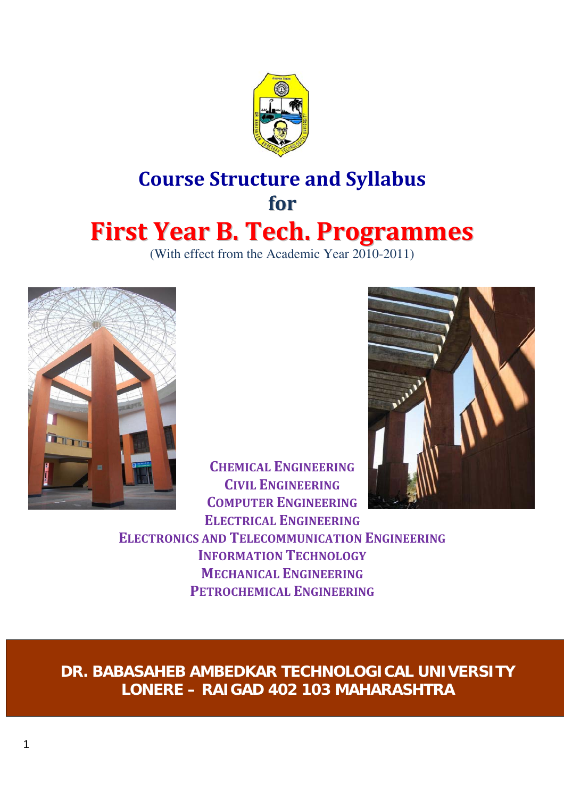

# **Course Structure and Syllabus for First Year B. Tech. Programmes**

(With effect from the Academic Year 2010-2011)



**CHEMICAL ENGINEERING CIVIL ENGINEERING COMPUTER ENGINEERING ELECTRICAL ENGINEERING**



**ELECTRONICS AND TELECOMMUNICATION ENGINEERING INFORMATION TECHNOLOGY MECHANICAL ENGINEERING PETROCHEMICAL ENGINEERING**

**DR. BABASAHEB AMBEDKAR TECHNOLOGICAL UNIVERSITY LONERE – RAIGAD 402 103 MAHARASHTRA**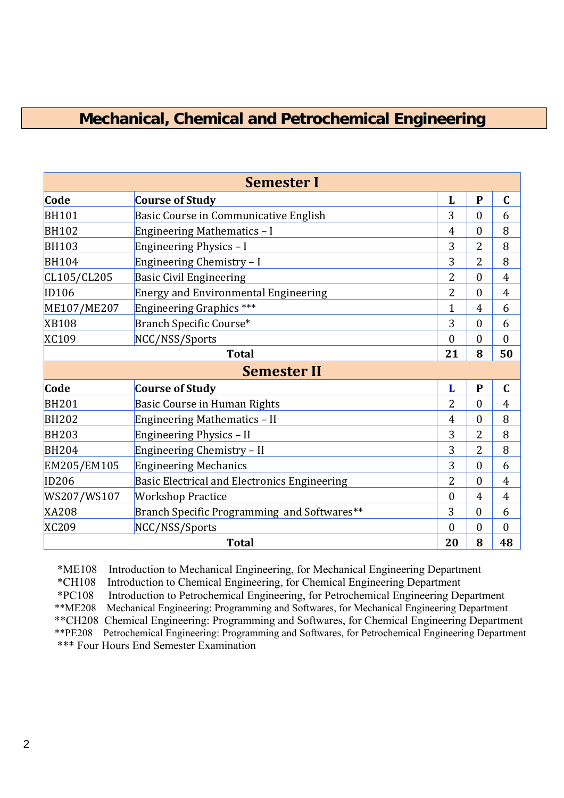# **Mechanical, Chemical and Petrochemical Engineering**

| <b>Semester I</b> |                                              |                |                  |                |  |
|-------------------|----------------------------------------------|----------------|------------------|----------------|--|
| Code              | <b>Course of Study</b>                       | L              | $\mathbf{P}$     | $\mathbf C$    |  |
| <b>BH101</b>      | Basic Course in Communicative English        | 3              | $\overline{0}$   | 6              |  |
| <b>BH102</b>      | Engineering Mathematics - I                  | $\overline{4}$ | $\overline{0}$   | 8              |  |
| <b>BH103</b>      | Engineering Physics - I                      | 3              | $\overline{2}$   | 8              |  |
| <b>BH104</b>      | Engineering Chemistry - I                    | 3              | $\overline{2}$   | 8              |  |
| CL105/CL205       | <b>Basic Civil Engineering</b>               | $\overline{2}$ | $\boldsymbol{0}$ | $\overline{4}$ |  |
| ID106             | <b>Energy and Environmental Engineering</b>  | $\overline{2}$ | $\overline{0}$   | $\overline{4}$ |  |
| ME107/ME207       | Engineering Graphics ***                     | 1              | $\overline{4}$   | 6              |  |
| <b>XB108</b>      | Branch Specific Course*                      | 3              | $\overline{0}$   | 6              |  |
| <b>XC109</b>      | NCC/NSS/Sports                               | $\theta$       | $\overline{0}$   | $\theta$       |  |
|                   | <b>Total</b>                                 | 21             | 8                | 50             |  |
|                   | <b>Semester II</b>                           |                |                  |                |  |
| Code              | <b>Course of Study</b>                       | L              | $\mathbf{P}$     | $\mathbf C$    |  |
| <b>BH201</b>      | Basic Course in Human Rights                 | 2              | $\overline{0}$   | $\overline{4}$ |  |
| <b>BH202</b>      | Engineering Mathematics - II                 | 4              | $\overline{0}$   | 8              |  |
| <b>BH203</b>      | Engineering Physics - II                     | 3              | $\overline{2}$   | 8              |  |
| <b>BH204</b>      | Engineering Chemistry - II                   | 3              | $\overline{2}$   | 8              |  |
| EM205/EM105       | <b>Engineering Mechanics</b>                 | 3              | $\overline{0}$   | 6              |  |
| <b>ID206</b>      | Basic Electrical and Electronics Engineering | $\overline{2}$ | $\overline{0}$   | $\overline{4}$ |  |
| WS207/WS107       | <b>Workshop Practice</b>                     | $\theta$       | 4                | $\overline{4}$ |  |
| <b>XA208</b>      | Branch Specific Programming and Softwares**  | 3              | $\theta$         | 6              |  |
| <b>XC209</b>      | NCC/NSS/Sports                               | $\theta$       | $\boldsymbol{0}$ | $\mathbf{0}$   |  |
| <b>Total</b>      |                                              |                | 8                | 48             |  |

\*ME108 Introduction to Mechanical Engineering, for Mechanical Engineering Department \*CH108 Introduction to Chemical Engineering, for Chemical Engineering Department \*PC108 Introduction to Petrochemical Engineering, for Petrochemical Engineering Department \*\*ME208 Mechanical Engineering: Programming and Softwares, for Mechanical Engineering Department \*\*CH208 Chemical Engineering: Programming and Softwares, for Chemical Engineering Department \*\*PE208 Petrochemical Engineering: Programming and Softwares, for Petrochemical Engineering Department \*\*\* Four Hours End Semester Examination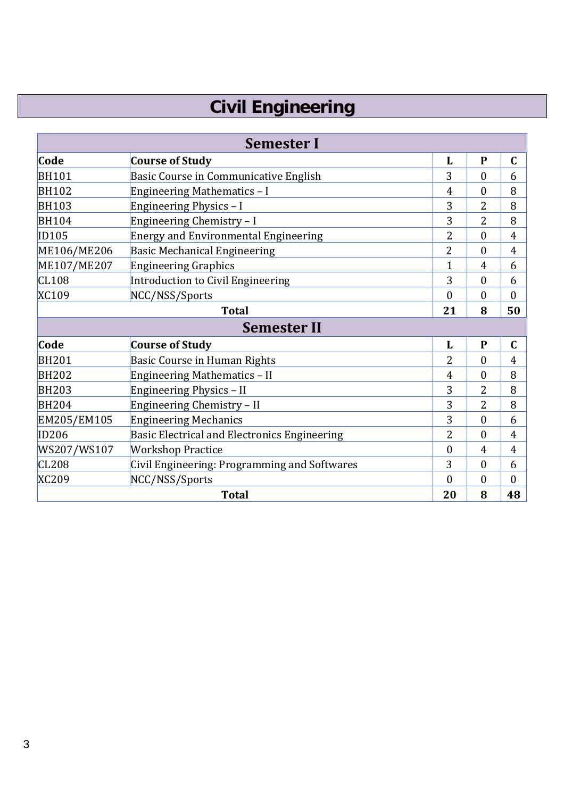# **Civil Engineering**

| <b>Semester I</b> |                                              |                |                  |                |
|-------------------|----------------------------------------------|----------------|------------------|----------------|
| Code              | <b>Course of Study</b>                       |                | $\mathbf{P}$     | $\mathbf C$    |
| <b>BH101</b>      | Basic Course in Communicative English        | 3              | $\overline{0}$   | 6              |
| <b>BH102</b>      | Engineering Mathematics - I                  | $\overline{4}$ | $\theta$         | 8              |
| <b>BH103</b>      | Engineering Physics - I                      | 3              | $\overline{2}$   | 8              |
| <b>BH104</b>      | Engineering Chemistry - I                    | 3              | $\overline{2}$   | 8              |
| ID105             | <b>Energy and Environmental Engineering</b>  |                | $\theta$         | $\overline{4}$ |
| ME106/ME206       | <b>Basic Mechanical Engineering</b>          | $\overline{2}$ | $\theta$         | $\overline{4}$ |
| ME107/ME207       | <b>Engineering Graphics</b>                  | $\mathbf{1}$   | $\overline{4}$   | 6              |
| CL108             | Introduction to Civil Engineering            | 3              | $\mathbf{0}$     | 6              |
| XC109             | NCC/NSS/Sports                               | $\theta$       | $\overline{0}$   | $\overline{0}$ |
|                   | <b>Total</b>                                 | 21             | 8                | 50             |
|                   | <b>Semester II</b>                           |                |                  |                |
| Code              | <b>Course of Study</b>                       | L              | $\mathbf{P}$     | $\mathbf C$    |
| <b>BH201</b>      | <b>Basic Course in Human Rights</b>          | $\overline{2}$ | $\overline{0}$   | $\overline{4}$ |
| <b>BH202</b>      | Engineering Mathematics - II                 | 4              | $\boldsymbol{0}$ | 8              |
| <b>BH203</b>      | Engineering Physics - II                     | 3              | 2                | 8              |
| <b>BH204</b>      | Engineering Chemistry - II                   | 3              | $\overline{2}$   | 8              |
| EM205/EM105       | <b>Engineering Mechanics</b>                 | 3              | $\boldsymbol{0}$ | 6              |
| ID206             | Basic Electrical and Electronics Engineering | $\overline{2}$ | $\boldsymbol{0}$ | $\overline{4}$ |
| WS207/WS107       | <b>Workshop Practice</b>                     | $\theta$       | $\overline{4}$   | $\overline{4}$ |
| CL208             | Civil Engineering: Programming and Softwares | 3              | $\overline{0}$   | 6              |
| <b>XC209</b>      | NCC/NSS/Sports                               | $\theta$       | $\theta$         | $\mathbf{0}$   |
| <b>Total</b>      |                                              |                | 8                | 48             |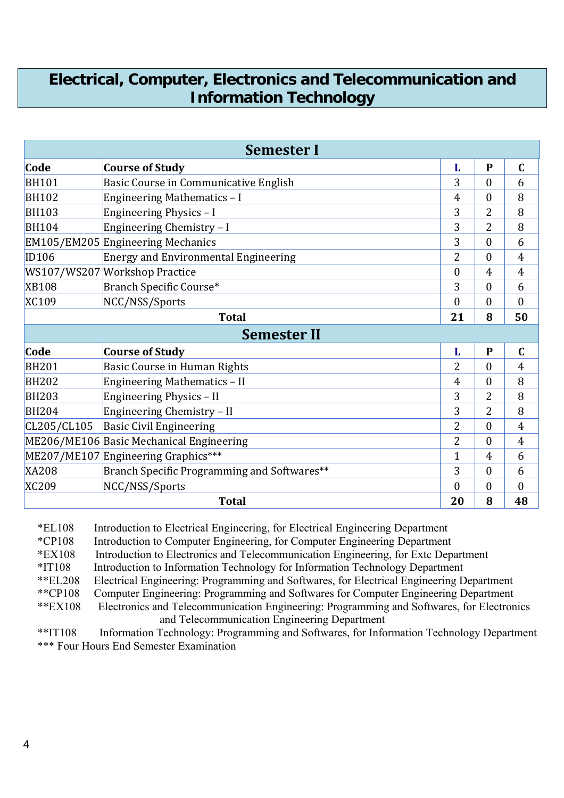# **Electrical, Computer, Electronics and Telecommunication and Information Technology**

| <b>Semester I</b> |                                             |                |                  |                |
|-------------------|---------------------------------------------|----------------|------------------|----------------|
| Code              | <b>Course of Study</b>                      | L              | $\mathbf{P}$     | $\mathbf C$    |
| <b>BH101</b>      | Basic Course in Communicative English       | 3              | $\overline{0}$   | 6              |
| <b>BH102</b>      | Engineering Mathematics - I                 | $\overline{4}$ | 0                | 8              |
| <b>BH103</b>      | Engineering Physics - I                     | 3              | $\overline{2}$   | 8              |
| <b>BH104</b>      | Engineering Chemistry - I                   | 3              | $\overline{2}$   | 8              |
|                   | EM105/EM205 Engineering Mechanics           | 3              | 0                | 6              |
| <b>ID106</b>      | <b>Energy and Environmental Engineering</b> | $\overline{2}$ | 0                | 4              |
|                   | WS107/WS207 Workshop Practice               | $\theta$       | 4                | $\overline{4}$ |
| <b>XB108</b>      | Branch Specific Course*                     | 3              | $\boldsymbol{0}$ | 6              |
| XC109             | NCC/NSS/Sports                              | $\mathbf{0}$   | 0                | $\theta$       |
| <b>Total</b>      |                                             |                | 8                | 50             |
|                   | <b>Semester II</b>                          |                |                  |                |
| Code              | <b>Course of Study</b>                      | L              | $\mathbf{P}$     | $\mathbf C$    |
| <b>BH201</b>      | <b>Basic Course in Human Rights</b>         | 2              | $\theta$         | $\overline{4}$ |
| <b>BH202</b>      | <b>Engineering Mathematics - II</b>         | 4              | $\theta$         | 8              |
| <b>BH203</b>      | Engineering Physics - II                    | 3              | $\overline{2}$   | 8              |
| <b>BH204</b>      | Engineering Chemistry - II                  | 3              | $\overline{2}$   | 8              |
| CL205/CL105       | <b>Basic Civil Engineering</b>              | $\overline{2}$ | $\theta$         | $\overline{4}$ |
|                   | ME206/ME106 Basic Mechanical Engineering    | $\overline{2}$ | $\theta$         | 4              |
|                   | ME207/ME107 Engineering Graphics***         | $\overline{1}$ | $\overline{4}$   | 6              |
| <b>XA208</b>      | Branch Specific Programming and Softwares** | 3              | $\theta$         | 6              |
| <b>XC209</b>      | NCC/NSS/Sports                              | $\overline{0}$ | 0                | $\overline{0}$ |
| <b>Total</b>      |                                             |                | 8                | 48             |

\*EL108 Introduction to Electrical Engineering, for Electrical Engineering Department

\*CP108 Introduction to Computer Engineering, for Computer Engineering Department

\*EX108 Introduction to Electronics and Telecommunication Engineering, for Extc Department

\*IT108 Introduction to Information Technology for Information Technology Department

\*\*EL208 Electrical Engineering: Programming and Softwares, for Electrical Engineering Department

\*\*CP108 Computer Engineering: Programming and Softwares for Computer Engineering Department

 \*\*EX108 Electronics and Telecommunication Engineering: Programming and Softwares, for Electronics and Telecommunication Engineering Department

 \*\*IT108 Information Technology: Programming and Softwares, for Information Technology Department \*\*\* Four Hours End Semester Examination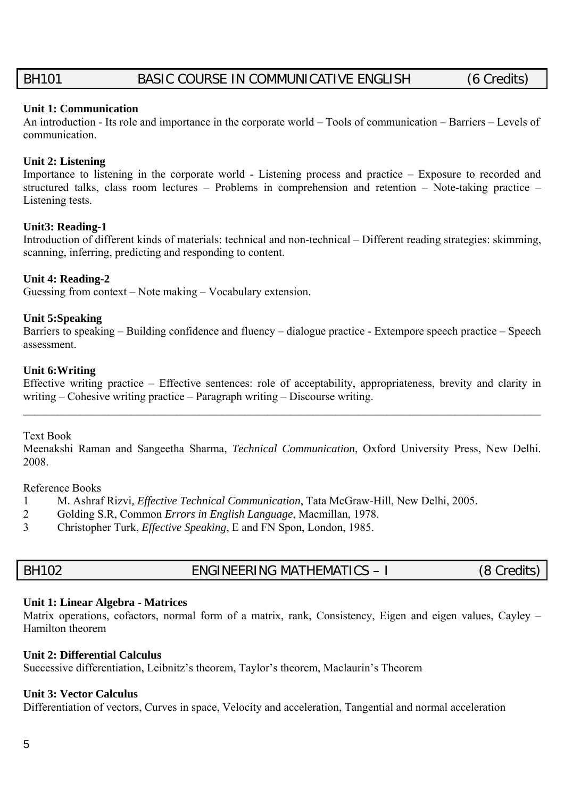# BH101 BASIC COURSE IN COMMUNICATIVE ENGLISH (6 Credits)

#### **Unit 1: Communication**

An introduction - Its role and importance in the corporate world – Tools of communication – Barriers – Levels of communication.

#### **Unit 2: Listening**

Importance to listening in the corporate world - Listening process and practice – Exposure to recorded and structured talks, class room lectures – Problems in comprehension and retention – Note-taking practice – Listening tests.

#### **Unit3: Reading-1**

Introduction of different kinds of materials: technical and non-technical – Different reading strategies: skimming, scanning, inferring, predicting and responding to content.

#### **Unit 4: Reading-2**

Guessing from context – Note making – Vocabulary extension.

#### **Unit 5:Speaking**

Barriers to speaking – Building confidence and fluency – dialogue practice - Extempore speech practice – Speech assessment.

#### **Unit 6:Writing**

Effective writing practice – Effective sentences: role of acceptability, appropriateness, brevity and clarity in writing – Cohesive writing practice – Paragraph writing – Discourse writing.

 $\mathcal{L}_\mathcal{L} = \mathcal{L}_\mathcal{L} = \mathcal{L}_\mathcal{L} = \mathcal{L}_\mathcal{L} = \mathcal{L}_\mathcal{L} = \mathcal{L}_\mathcal{L} = \mathcal{L}_\mathcal{L} = \mathcal{L}_\mathcal{L} = \mathcal{L}_\mathcal{L} = \mathcal{L}_\mathcal{L} = \mathcal{L}_\mathcal{L} = \mathcal{L}_\mathcal{L} = \mathcal{L}_\mathcal{L} = \mathcal{L}_\mathcal{L} = \mathcal{L}_\mathcal{L} = \mathcal{L}_\mathcal{L} = \mathcal{L}_\mathcal{L}$ 

#### Text Book

Meenakshi Raman and Sangeetha Sharma, *Technical Communication*, Oxford University Press, New Delhi. 2008.

Reference Books

- 1 M. Ashraf Rizvi*, Effective Technical Communication*, Tata McGraw-Hill, New Delhi, 2005.
- 2 Golding S.R, Common *Errors in English Language*, Macmillan, 1978.
- 3 Christopher Turk, *Effective Speaking*, E and FN Spon, London, 1985.

# BH102 ENGINEERING MATHEMATICS – I (8 Credits)

#### **Unit 1: Linear Algebra - Matrices**

Matrix operations, cofactors, normal form of a matrix, rank, Consistency, Eigen and eigen values, Cayley – Hamilton theorem

#### **Unit 2: Differential Calculus**

Successive differentiation, Leibnitz's theorem, Taylor's theorem, Maclaurin's Theorem

#### **Unit 3: Vector Calculus**

Differentiation of vectors, Curves in space, Velocity and acceleration, Tangential and normal acceleration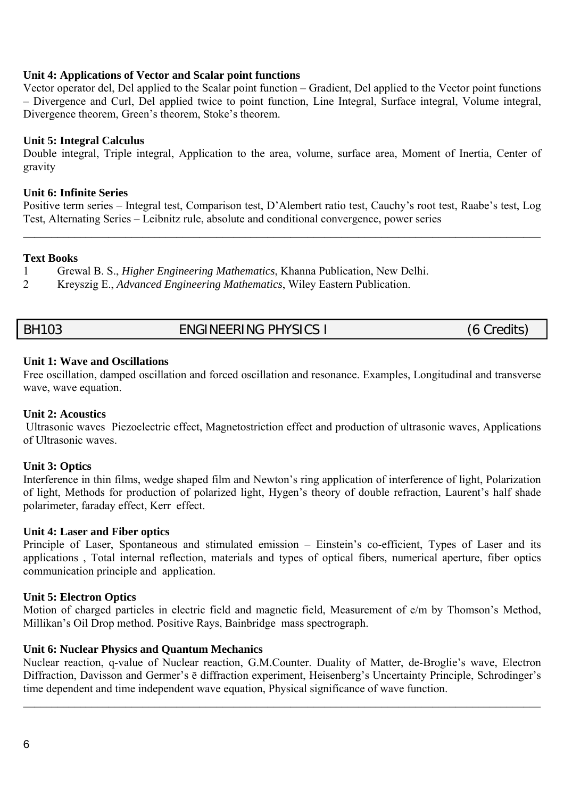#### **Unit 4: Applications of Vector and Scalar point functions**

Vector operator del, Del applied to the Scalar point function – Gradient, Del applied to the Vector point functions – Divergence and Curl, Del applied twice to point function, Line Integral, Surface integral, Volume integral, Divergence theorem, Green's theorem, Stoke's theorem.

#### **Unit 5: Integral Calculus**

Double integral, Triple integral, Application to the area, volume, surface area, Moment of Inertia, Center of gravity

#### **Unit 6: Infinite Series**

Positive term series – Integral test, Comparison test, D'Alembert ratio test, Cauchy's root test, Raabe's test, Log Test, Alternating Series – Leibnitz rule, absolute and conditional convergence, power series

 $\mathcal{L}_\mathcal{L} = \mathcal{L}_\mathcal{L} = \mathcal{L}_\mathcal{L} = \mathcal{L}_\mathcal{L} = \mathcal{L}_\mathcal{L} = \mathcal{L}_\mathcal{L} = \mathcal{L}_\mathcal{L} = \mathcal{L}_\mathcal{L} = \mathcal{L}_\mathcal{L} = \mathcal{L}_\mathcal{L} = \mathcal{L}_\mathcal{L} = \mathcal{L}_\mathcal{L} = \mathcal{L}_\mathcal{L} = \mathcal{L}_\mathcal{L} = \mathcal{L}_\mathcal{L} = \mathcal{L}_\mathcal{L} = \mathcal{L}_\mathcal{L}$ 

#### **Text Books**

1 Grewal B. S., *Higher Engineering Mathematics*, Khanna Publication, New Delhi.

2 Kreyszig E., *Advanced Engineering Mathematics*, Wiley Eastern Publication.

# BH103 ENGINEERING PHYSICS I (6 Credits)

#### **Unit 1: Wave and Oscillations**

Free oscillation, damped oscillation and forced oscillation and resonance. Examples, Longitudinal and transverse wave, wave equation.

#### **Unit 2: Acoustics**

Ultrasonic waves Piezoelectric effect, Magnetostriction effect and production of ultrasonic waves, Applications of Ultrasonic waves.

#### **Unit 3: Optics**

Interference in thin films, wedge shaped film and Newton's ring application of interference of light, Polarization of light, Methods for production of polarized light, Hygen's theory of double refraction, Laurent's half shade polarimeter, faraday effect, Kerr effect.

#### **Unit 4: Laser and Fiber optics**

Principle of Laser, Spontaneous and stimulated emission – Einstein's co-efficient, Types of Laser and its applications , Total internal reflection, materials and types of optical fibers, numerical aperture, fiber optics communication principle and application.

#### **Unit 5: Electron Optics**

Motion of charged particles in electric field and magnetic field, Measurement of e/m by Thomson's Method, Millikan's Oil Drop method. Positive Rays, Bainbridge mass spectrograph.

#### **Unit 6: Nuclear Physics and Quantum Mechanics**

Nuclear reaction, q-value of Nuclear reaction, G.M.Counter. Duality of Matter, de-Broglie's wave, Electron Diffraction, Davisson and Germer's ē diffraction experiment, Heisenberg's Uncertainty Principle, Schrodinger's time dependent and time independent wave equation, Physical significance of wave function.

 $\mathcal{L}_\mathcal{L} = \mathcal{L}_\mathcal{L} = \mathcal{L}_\mathcal{L} = \mathcal{L}_\mathcal{L} = \mathcal{L}_\mathcal{L} = \mathcal{L}_\mathcal{L} = \mathcal{L}_\mathcal{L} = \mathcal{L}_\mathcal{L} = \mathcal{L}_\mathcal{L} = \mathcal{L}_\mathcal{L} = \mathcal{L}_\mathcal{L} = \mathcal{L}_\mathcal{L} = \mathcal{L}_\mathcal{L} = \mathcal{L}_\mathcal{L} = \mathcal{L}_\mathcal{L} = \mathcal{L}_\mathcal{L} = \mathcal{L}_\mathcal{L}$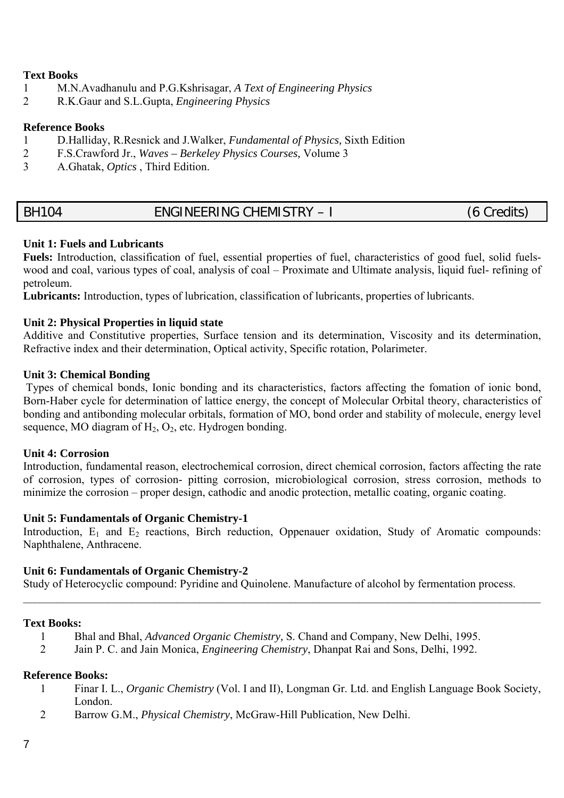#### **Text Books**

- 1 M.N.Avadhanulu and P.G.Kshrisagar, *A Text of Engineering Physics*
- 2 R.K.Gaur and S.L.Gupta, *Engineering Physics*

#### **Reference Books**

- 1 D.Halliday, R.Resnick and J.Walker, *Fundamental of Physics,* Sixth Edition
- 2 F.S.Crawford Jr., *Waves Berkeley Physics Courses,* Volume 3
- 3 A.Ghatak, *Optics* , Third Edition.

# BH104 ENGINEERING CHEMISTRY – I (6 Credits)

#### **Unit 1: Fuels and Lubricants**

**Fuels:** Introduction, classification of fuel, essential properties of fuel, characteristics of good fuel, solid fuelswood and coal, various types of coal, analysis of coal – Proximate and Ultimate analysis, liquid fuel- refining of petroleum.

**Lubricants:** Introduction, types of lubrication, classification of lubricants, properties of lubricants.

#### **Unit 2: Physical Properties in liquid state**

Additive and Constitutive properties, Surface tension and its determination, Viscosity and its determination, Refractive index and their determination, Optical activity, Specific rotation, Polarimeter.

#### **Unit 3: Chemical Bonding**

Types of chemical bonds, Ionic bonding and its characteristics, factors affecting the fomation of ionic bond, Born-Haber cycle for determination of lattice energy, the concept of Molecular Orbital theory, characteristics of bonding and antibonding molecular orbitals, formation of MO, bond order and stability of molecule, energy level sequence, MO diagram of  $H_2$ ,  $O_2$ , etc. Hydrogen bonding.

#### **Unit 4: Corrosion**

Introduction, fundamental reason, electrochemical corrosion, direct chemical corrosion, factors affecting the rate of corrosion, types of corrosion- pitting corrosion, microbiological corrosion, stress corrosion, methods to minimize the corrosion – proper design, cathodic and anodic protection, metallic coating, organic coating.

#### **Unit 5: Fundamentals of Organic Chemistry-1**

Introduction,  $E_1$  and  $E_2$  reactions, Birch reduction, Oppenauer oxidation, Study of Aromatic compounds: Naphthalene, Anthracene.

 $\mathcal{L}_\mathcal{L} = \mathcal{L}_\mathcal{L} = \mathcal{L}_\mathcal{L} = \mathcal{L}_\mathcal{L} = \mathcal{L}_\mathcal{L} = \mathcal{L}_\mathcal{L} = \mathcal{L}_\mathcal{L} = \mathcal{L}_\mathcal{L} = \mathcal{L}_\mathcal{L} = \mathcal{L}_\mathcal{L} = \mathcal{L}_\mathcal{L} = \mathcal{L}_\mathcal{L} = \mathcal{L}_\mathcal{L} = \mathcal{L}_\mathcal{L} = \mathcal{L}_\mathcal{L} = \mathcal{L}_\mathcal{L} = \mathcal{L}_\mathcal{L}$ 

#### **Unit 6: Fundamentals of Organic Chemistry-2**

Study of Heterocyclic compound: Pyridine and Quinolene. Manufacture of alcohol by fermentation process.

#### **Text Books:**

- 1 Bhal and Bhal, *Advanced Organic Chemistry,* S. Chand and Company, New Delhi, 1995.
- 2 Jain P. C. and Jain Monica, *Engineering Chemistry*, Dhanpat Rai and Sons, Delhi, 1992.

#### **Reference Books:**

- 1 Finar I. L., *Organic Chemistry* (Vol. I and II), Longman Gr. Ltd. and English Language Book Society, London.
- 2 Barrow G.M., *Physical Chemistry*, McGraw-Hill Publication, New Delhi.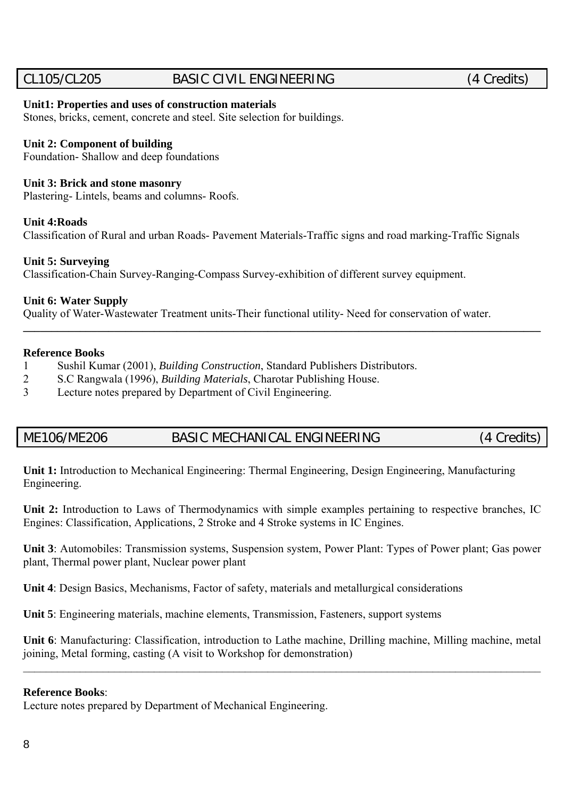# CL105/CL205 BASIC CIVIL ENGINEERING (4 Credits)

#### **Unit1: Properties and uses of construction materials**

Stones, bricks, cement, concrete and steel. Site selection for buildings.

#### **Unit 2: Component of building**

Foundation- Shallow and deep foundations

#### **Unit 3: Brick and stone masonry**

Plastering- Lintels, beams and columns- Roofs.

#### **Unit 4:Roads**

Classification of Rural and urban Roads- Pavement Materials-Traffic signs and road marking-Traffic Signals

#### **Unit 5: Surveying**

Classification-Chain Survey-Ranging-Compass Survey-exhibition of different survey equipment.

#### **Unit 6: Water Supply**

Quality of Water-Wastewater Treatment units-Their functional utility- Need for conservation of water.

#### **Reference Books**

1 Sushil Kumar (2001), *Building Construction*, Standard Publishers Distributors.

- 2 S.C Rangwala (1996), *Building Materials*, Charotar Publishing House.
- 3 Lecture notes prepared by Department of Civil Engineering.

# ME106/ME206 BASIC MECHANICAL ENGINEERING (4 Credits)

**\_\_\_\_\_\_\_\_\_\_\_\_\_\_\_\_\_\_\_\_\_\_\_\_\_\_\_\_\_\_\_\_\_\_\_\_\_\_\_\_\_\_\_\_\_\_\_\_\_\_\_\_\_\_\_\_\_\_\_\_\_\_\_\_\_\_\_\_\_\_\_\_\_\_\_\_\_\_\_\_\_\_\_\_\_\_\_\_\_\_\_** 

**Unit 1:** Introduction to Mechanical Engineering: Thermal Engineering, Design Engineering, Manufacturing Engineering.

**Unit 2:** Introduction to Laws of Thermodynamics with simple examples pertaining to respective branches, IC Engines: Classification, Applications, 2 Stroke and 4 Stroke systems in IC Engines.

**Unit 3**: Automobiles: Transmission systems, Suspension system, Power Plant: Types of Power plant; Gas power plant, Thermal power plant, Nuclear power plant

**Unit 4**: Design Basics, Mechanisms, Factor of safety, materials and metallurgical considerations

**Unit 5**: Engineering materials, machine elements, Transmission, Fasteners, support systems

**Unit 6**: Manufacturing: Classification, introduction to Lathe machine, Drilling machine, Milling machine, metal joining, Metal forming, casting (A visit to Workshop for demonstration)

 $\mathcal{L}_\mathcal{L} = \mathcal{L}_\mathcal{L} = \mathcal{L}_\mathcal{L} = \mathcal{L}_\mathcal{L} = \mathcal{L}_\mathcal{L} = \mathcal{L}_\mathcal{L} = \mathcal{L}_\mathcal{L} = \mathcal{L}_\mathcal{L} = \mathcal{L}_\mathcal{L} = \mathcal{L}_\mathcal{L} = \mathcal{L}_\mathcal{L} = \mathcal{L}_\mathcal{L} = \mathcal{L}_\mathcal{L} = \mathcal{L}_\mathcal{L} = \mathcal{L}_\mathcal{L} = \mathcal{L}_\mathcal{L} = \mathcal{L}_\mathcal{L}$ 

#### **Reference Books**:

Lecture notes prepared by Department of Mechanical Engineering.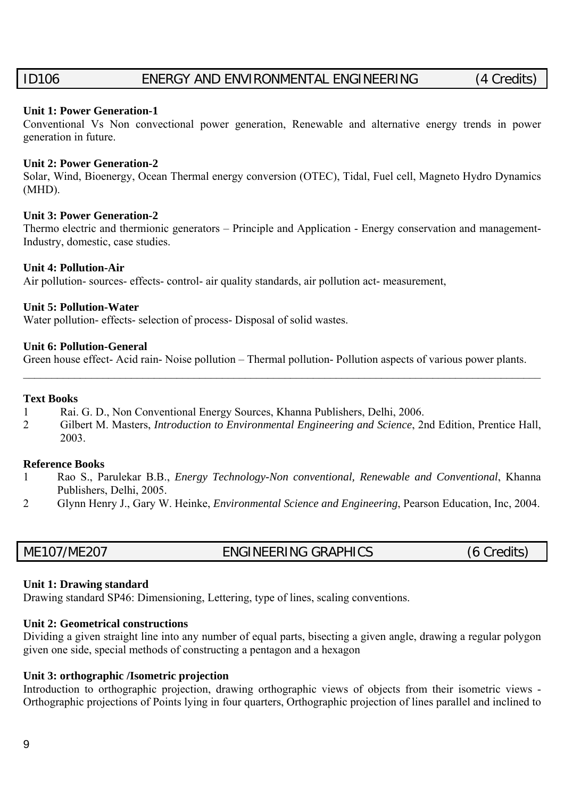# ID106 ENERGY AND ENVIRONMENTAL ENGINEERING (4 Credits)

#### **Unit 1: Power Generation-1**

Conventional Vs Non convectional power generation, Renewable and alternative energy trends in power generation in future.

#### **Unit 2: Power Generation-2**

Solar, Wind, Bioenergy, Ocean Thermal energy conversion (OTEC), Tidal, Fuel cell, Magneto Hydro Dynamics (MHD).

#### **Unit 3: Power Generation-2**

Thermo electric and thermionic generators – Principle and Application - Energy conservation and management-Industry, domestic, case studies.

#### **Unit 4: Pollution-Air**

Air pollution- sources- effects- control- air quality standards, air pollution act- measurement,

#### **Unit 5: Pollution-Water**

Water pollution- effects- selection of process- Disposal of solid wastes.

#### **Unit 6: Pollution-General**

Green house effect- Acid rain- Noise pollution – Thermal pollution- Pollution aspects of various power plants.

 $\mathcal{L}_\mathcal{L} = \mathcal{L}_\mathcal{L} = \mathcal{L}_\mathcal{L} = \mathcal{L}_\mathcal{L} = \mathcal{L}_\mathcal{L} = \mathcal{L}_\mathcal{L} = \mathcal{L}_\mathcal{L} = \mathcal{L}_\mathcal{L} = \mathcal{L}_\mathcal{L} = \mathcal{L}_\mathcal{L} = \mathcal{L}_\mathcal{L} = \mathcal{L}_\mathcal{L} = \mathcal{L}_\mathcal{L} = \mathcal{L}_\mathcal{L} = \mathcal{L}_\mathcal{L} = \mathcal{L}_\mathcal{L} = \mathcal{L}_\mathcal{L}$ 

#### **Text Books**

- 1 Rai. G. D., Non Conventional Energy Sources, Khanna Publishers, Delhi, 2006.
- 2 Gilbert M. Masters, *Introduction to Environmental Engineering and Science*, 2nd Edition, Prentice Hall, 2003.

#### **Reference Books**

- 1 Rao S., Parulekar B.B., *Energy Technology-Non conventional, Renewable and Conventional*, Khanna Publishers, Delhi, 2005.
- 2 Glynn Henry J., Gary W. Heinke, *Environmental Science and Engineering*, Pearson Education, Inc, 2004.

| ME107/ME207 | ENGINEERING GRAPHICS | (6 Credits) |
|-------------|----------------------|-------------|

#### **Unit 1: Drawing standard**

Drawing standard SP46: Dimensioning, Lettering, type of lines, scaling conventions.

#### **Unit 2: Geometrical constructions**

Dividing a given straight line into any number of equal parts, bisecting a given angle, drawing a regular polygon given one side, special methods of constructing a pentagon and a hexagon

#### **Unit 3: orthographic /Isometric projection**

Introduction to orthographic projection, drawing orthographic views of objects from their isometric views - Orthographic projections of Points lying in four quarters, Orthographic projection of lines parallel and inclined to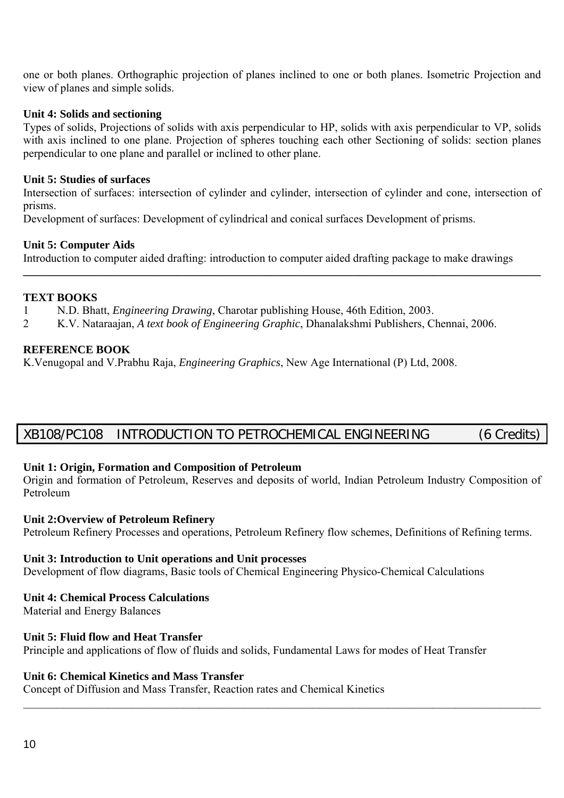one or both planes. Orthographic projection of planes inclined to one or both planes. Isometric Projection and view of planes and simple solids.

#### **Unit 4: Solids and sectioning**

Types of solids, Projections of solids with axis perpendicular to HP, solids with axis perpendicular to VP, solids with axis inclined to one plane. Projection of spheres touching each other Sectioning of solids: section planes perpendicular to one plane and parallel or inclined to other plane.

#### **Unit 5: Studies of surfaces**

Intersection of surfaces: intersection of cylinder and cylinder, intersection of cylinder and cone, intersection of prisms.

**\_\_\_\_\_\_\_\_\_\_\_\_\_\_\_\_\_\_\_\_\_\_\_\_\_\_\_\_\_\_\_\_\_\_\_\_\_\_\_\_\_\_\_\_\_\_\_\_\_\_\_\_\_\_\_\_\_\_\_\_\_\_\_\_\_\_\_\_\_\_\_\_\_\_\_\_\_\_\_\_\_\_\_\_\_\_\_\_\_\_\_** 

Development of surfaces: Development of cylindrical and conical surfaces Development of prisms.

#### **Unit 5: Computer Aids**

Introduction to computer aided drafting: introduction to computer aided drafting package to make drawings

#### **TEXT BOOKS**

- 1 N.D. Bhatt, *Engineering Drawing*, Charotar publishing House, 46th Edition, 2003.
- 2 K.V. Nataraajan, *A text book of Engineering Graphic*, Dhanalakshmi Publishers, Chennai, 2006.

#### **REFERENCE BOOK**

K.Venugopal and V.Prabhu Raja, *Engineering Graphics*, New Age International (P) Ltd, 2008.

# XB108/PC108 INTRODUCTION TO PETROCHEMICAL ENGINEERING (6 Credits)

#### **Unit 1: Origin, Formation and Composition of Petroleum**

Origin and formation of Petroleum, Reserves and deposits of world, Indian Petroleum Industry Composition of Petroleum

#### **Unit 2:Overview of Petroleum Refinery**

Petroleum Refinery Processes and operations, Petroleum Refinery flow schemes, Definitions of Refining terms.

#### **Unit 3: Introduction to Unit operations and Unit processes**

Development of flow diagrams, Basic tools of Chemical Engineering Physico-Chemical Calculations

#### **Unit 4: Chemical Process Calculations**

Material and Energy Balances

#### **Unit 5: Fluid flow and Heat Transfer**

Principle and applications of flow of fluids and solids, Fundamental Laws for modes of Heat Transfer

 $\mathcal{L}_\mathcal{L} = \mathcal{L}_\mathcal{L} = \mathcal{L}_\mathcal{L} = \mathcal{L}_\mathcal{L} = \mathcal{L}_\mathcal{L} = \mathcal{L}_\mathcal{L} = \mathcal{L}_\mathcal{L} = \mathcal{L}_\mathcal{L} = \mathcal{L}_\mathcal{L} = \mathcal{L}_\mathcal{L} = \mathcal{L}_\mathcal{L} = \mathcal{L}_\mathcal{L} = \mathcal{L}_\mathcal{L} = \mathcal{L}_\mathcal{L} = \mathcal{L}_\mathcal{L} = \mathcal{L}_\mathcal{L} = \mathcal{L}_\mathcal{L}$ 

#### **Unit 6: Chemical Kinetics and Mass Transfer**

Concept of Diffusion and Mass Transfer, Reaction rates and Chemical Kinetics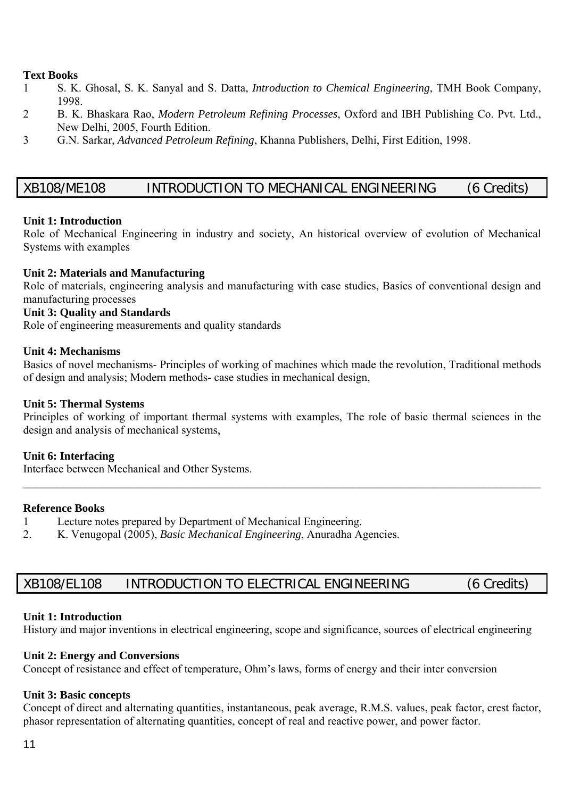#### **Text Books**

- 1 S. K. Ghosal, S. K. Sanyal and S. Datta, *Introduction to Chemical Engineering*, TMH Book Company, 1998.
- 2 B. K. Bhaskara Rao, *Modern Petroleum Refining Processes*, Oxford and IBH Publishing Co. Pvt. Ltd., New Delhi, 2005, Fourth Edition.
- 3 G.N. Sarkar, *Advanced Petroleum Refining*, Khanna Publishers, Delhi, First Edition, 1998.

## XB108/ME108 INTRODUCTION TO MECHANICAL ENGINEERING (6 Credits)

#### **Unit 1: Introduction**

Role of Mechanical Engineering in industry and society, An historical overview of evolution of Mechanical Systems with examples

#### **Unit 2: Materials and Manufacturing**

Role of materials, engineering analysis and manufacturing with case studies, Basics of conventional design and manufacturing processes

#### **Unit 3: Quality and Standards**

Role of engineering measurements and quality standards

#### **Unit 4: Mechanisms**

Basics of novel mechanisms- Principles of working of machines which made the revolution, Traditional methods of design and analysis; Modern methods- case studies in mechanical design,

#### **Unit 5: Thermal Systems**

Principles of working of important thermal systems with examples, The role of basic thermal sciences in the design and analysis of mechanical systems,

 $\mathcal{L}_\mathcal{L} = \mathcal{L}_\mathcal{L} = \mathcal{L}_\mathcal{L} = \mathcal{L}_\mathcal{L} = \mathcal{L}_\mathcal{L} = \mathcal{L}_\mathcal{L} = \mathcal{L}_\mathcal{L} = \mathcal{L}_\mathcal{L} = \mathcal{L}_\mathcal{L} = \mathcal{L}_\mathcal{L} = \mathcal{L}_\mathcal{L} = \mathcal{L}_\mathcal{L} = \mathcal{L}_\mathcal{L} = \mathcal{L}_\mathcal{L} = \mathcal{L}_\mathcal{L} = \mathcal{L}_\mathcal{L} = \mathcal{L}_\mathcal{L}$ 

#### **Unit 6: Interfacing**

Interface between Mechanical and Other Systems.

#### **Reference Books**

- 1 Lecture notes prepared by Department of Mechanical Engineering.
- 2. K. Venugopal (2005), *Basic Mechanical Engineering*, Anuradha Agencies.

# XB108/EL108 INTRODUCTION TO ELECTRICAL ENGINEERING (6 Credits)

#### **Unit 1: Introduction**

History and major inventions in electrical engineering, scope and significance, sources of electrical engineering

#### **Unit 2: Energy and Conversions**

Concept of resistance and effect of temperature, Ohm's laws, forms of energy and their inter conversion

#### **Unit 3: Basic concepts**

Concept of direct and alternating quantities, instantaneous, peak average, R.M.S. values, peak factor, crest factor, phasor representation of alternating quantities, concept of real and reactive power, and power factor.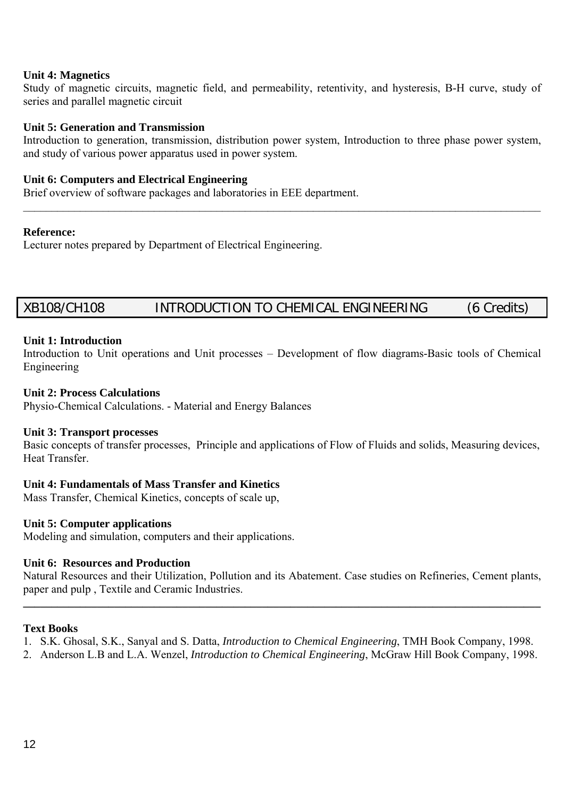#### **Unit 4: Magnetics**

Study of magnetic circuits, magnetic field, and permeability, retentivity, and hysteresis, B-H curve, study of series and parallel magnetic circuit

#### **Unit 5: Generation and Transmission**

Introduction to generation, transmission, distribution power system, Introduction to three phase power system, and study of various power apparatus used in power system.

 $\mathcal{L}_\mathcal{L} = \mathcal{L}_\mathcal{L} = \mathcal{L}_\mathcal{L} = \mathcal{L}_\mathcal{L} = \mathcal{L}_\mathcal{L} = \mathcal{L}_\mathcal{L} = \mathcal{L}_\mathcal{L} = \mathcal{L}_\mathcal{L} = \mathcal{L}_\mathcal{L} = \mathcal{L}_\mathcal{L} = \mathcal{L}_\mathcal{L} = \mathcal{L}_\mathcal{L} = \mathcal{L}_\mathcal{L} = \mathcal{L}_\mathcal{L} = \mathcal{L}_\mathcal{L} = \mathcal{L}_\mathcal{L} = \mathcal{L}_\mathcal{L}$ 

#### **Unit 6: Computers and Electrical Engineering**

Brief overview of software packages and laboratories in EEE department.

#### **Reference:**

Lecturer notes prepared by Department of Electrical Engineering.

# XB108/CH108 INTRODUCTION TO CHEMICAL ENGINEERING (6 Credits)

#### **Unit 1: Introduction**

Introduction to Unit operations and Unit processes – Development of flow diagrams-Basic tools of Chemical Engineering

#### **Unit 2: Process Calculations**

Physio-Chemical Calculations. - Material and Energy Balances

#### **Unit 3: Transport processes**

Basic concepts of transfer processes, Principle and applications of Flow of Fluids and solids, Measuring devices, Heat Transfer.

#### **Unit 4: Fundamentals of Mass Transfer and Kinetics**

Mass Transfer, Chemical Kinetics, concepts of scale up,

#### **Unit 5: Computer applications**

Modeling and simulation, computers and their applications.

#### **Unit 6: Resources and Production**

Natural Resources and their Utilization, Pollution and its Abatement. Case studies on Refineries, Cement plants, paper and pulp , Textile and Ceramic Industries.

**\_\_\_\_\_\_\_\_\_\_\_\_\_\_\_\_\_\_\_\_\_\_\_\_\_\_\_\_\_\_\_\_\_\_\_\_\_\_\_\_\_\_\_\_\_\_\_\_\_\_\_\_\_\_\_\_\_\_\_\_\_\_\_\_\_\_\_\_\_\_\_\_\_\_\_\_\_\_\_\_\_\_\_\_\_\_\_\_\_\_\_** 

#### **Text Books**

- 1. S.K. Ghosal, S.K., Sanyal and S. Datta, *Introduction to Chemical Engineering*, TMH Book Company, 1998.
- 2. Anderson L.B and L.A. Wenzel, *Introduction to Chemical Engineering*, McGraw Hill Book Company, 1998.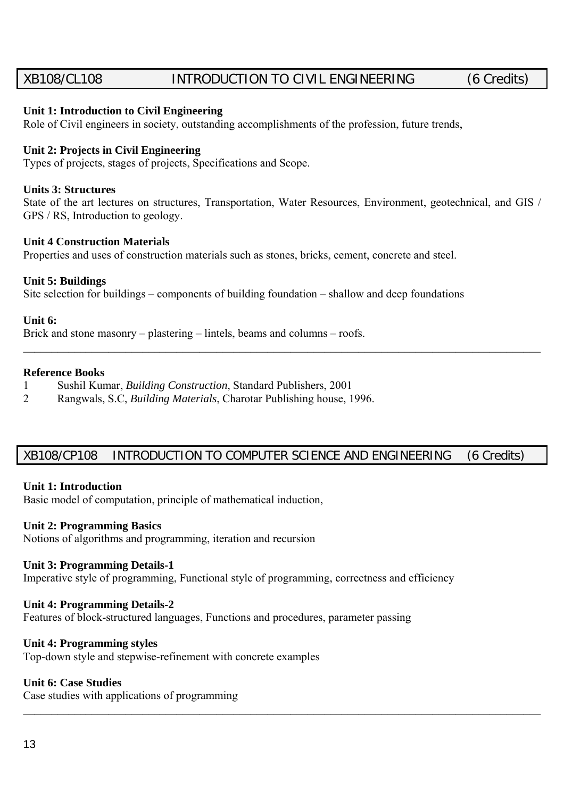# XB108/CL108 INTRODUCTION TO CIVIL ENGINEERING (6 Credits)

#### **Unit 1: Introduction to Civil Engineering**

Role of Civil engineers in society, outstanding accomplishments of the profession, future trends,

#### **Unit 2: Projects in Civil Engineering**

Types of projects, stages of projects, Specifications and Scope.

#### **Units 3: Structures**

State of the art lectures on structures, Transportation, Water Resources, Environment, geotechnical, and GIS / GPS / RS, Introduction to geology.

 $\mathcal{L}_\mathcal{L} = \mathcal{L}_\mathcal{L} = \mathcal{L}_\mathcal{L} = \mathcal{L}_\mathcal{L} = \mathcal{L}_\mathcal{L} = \mathcal{L}_\mathcal{L} = \mathcal{L}_\mathcal{L} = \mathcal{L}_\mathcal{L} = \mathcal{L}_\mathcal{L} = \mathcal{L}_\mathcal{L} = \mathcal{L}_\mathcal{L} = \mathcal{L}_\mathcal{L} = \mathcal{L}_\mathcal{L} = \mathcal{L}_\mathcal{L} = \mathcal{L}_\mathcal{L} = \mathcal{L}_\mathcal{L} = \mathcal{L}_\mathcal{L}$ 

#### **Unit 4 Construction Materials**

Properties and uses of construction materials such as stones, bricks, cement, concrete and steel.

#### **Unit 5: Buildings**

Site selection for buildings – components of building foundation – shallow and deep foundations

#### **Unit 6:**

Brick and stone masonry – plastering – lintels, beams and columns – roofs.

#### **Reference Books**

- 1 Sushil Kumar, *Building Construction*, Standard Publishers, 2001
- 2 Rangwals, S.C, *Building Materials*, Charotar Publishing house, 1996.

### XB108/CP108 INTRODUCTION TO COMPUTER SCIENCE AND ENGINEERING (6 Credits)

 $\mathcal{L}_\mathcal{L} = \mathcal{L}_\mathcal{L} = \mathcal{L}_\mathcal{L} = \mathcal{L}_\mathcal{L} = \mathcal{L}_\mathcal{L} = \mathcal{L}_\mathcal{L} = \mathcal{L}_\mathcal{L} = \mathcal{L}_\mathcal{L} = \mathcal{L}_\mathcal{L} = \mathcal{L}_\mathcal{L} = \mathcal{L}_\mathcal{L} = \mathcal{L}_\mathcal{L} = \mathcal{L}_\mathcal{L} = \mathcal{L}_\mathcal{L} = \mathcal{L}_\mathcal{L} = \mathcal{L}_\mathcal{L} = \mathcal{L}_\mathcal{L}$ 

#### **Unit 1: Introduction**

Basic model of computation, principle of mathematical induction,

#### **Unit 2: Programming Basics**

Notions of algorithms and programming, iteration and recursion

#### **Unit 3: Programming Details-1**

Imperative style of programming, Functional style of programming, correctness and efficiency

#### **Unit 4: Programming Details-2**

Features of block-structured languages, Functions and procedures, parameter passing

#### **Unit 4: Programming styles**

Top-down style and stepwise-refinement with concrete examples

#### **Unit 6: Case Studies**

Case studies with applications of programming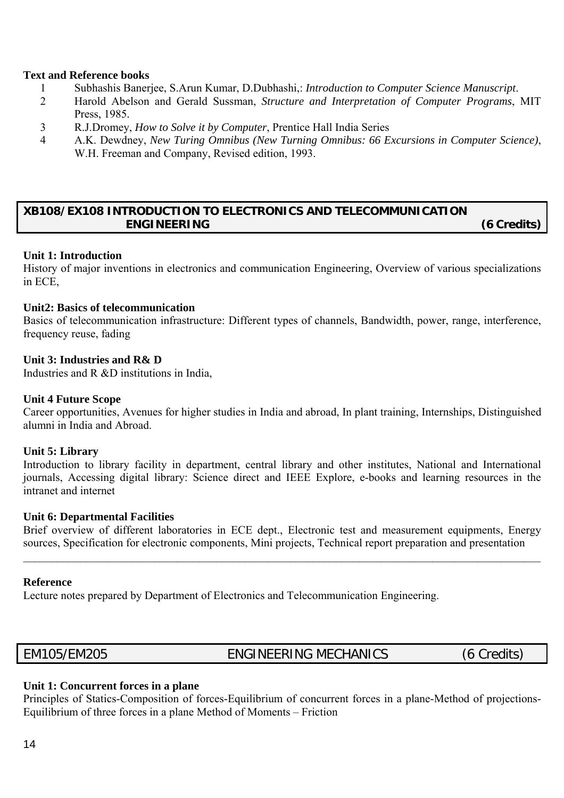#### **Text and Reference books**

- 1 Subhashis Banerjee, S.Arun Kumar, D.Dubhashi,: *Introduction to Computer Science Manuscript*.
- 2 Harold Abelson and Gerald Sussman, *Structure and Interpretation of Computer Programs*, MIT Press, 1985.
- 3 R.J.Dromey, *How to Solve it by Computer*, Prentice Hall India Series
- 4 A.K. Dewdney, *New Turing Omnibus (New Turning Omnibus: 66 Excursions in Computer Science)*, W.H. Freeman and Company, Revised edition, 1993.

### **XB108/EX108 INTRODUCTION TO ELECTRONICS AND TELECOMMUNICATION ENGINEERING (6 Credits)**

#### **Unit 1: Introduction**

History of major inventions in electronics and communication Engineering, Overview of various specializations in ECE,

#### **Unit2: Basics of telecommunication**

Basics of telecommunication infrastructure: Different types of channels, Bandwidth, power, range, interference, frequency reuse, fading

#### **Unit 3: Industries and R& D**

Industries and R &D institutions in India,

#### **Unit 4 Future Scope**

Career opportunities, Avenues for higher studies in India and abroad, In plant training, Internships, Distinguished alumni in India and Abroad.

#### **Unit 5: Library**

Introduction to library facility in department, central library and other institutes, National and International journals, Accessing digital library: Science direct and IEEE Explore, e-books and learning resources in the intranet and internet

#### **Unit 6: Departmental Facilities**

Brief overview of different laboratories in ECE dept., Electronic test and measurement equipments, Energy sources, Specification for electronic components, Mini projects, Technical report preparation and presentation

 $\mathcal{L}_\mathcal{L} = \mathcal{L}_\mathcal{L} = \mathcal{L}_\mathcal{L} = \mathcal{L}_\mathcal{L} = \mathcal{L}_\mathcal{L} = \mathcal{L}_\mathcal{L} = \mathcal{L}_\mathcal{L} = \mathcal{L}_\mathcal{L} = \mathcal{L}_\mathcal{L} = \mathcal{L}_\mathcal{L} = \mathcal{L}_\mathcal{L} = \mathcal{L}_\mathcal{L} = \mathcal{L}_\mathcal{L} = \mathcal{L}_\mathcal{L} = \mathcal{L}_\mathcal{L} = \mathcal{L}_\mathcal{L} = \mathcal{L}_\mathcal{L}$ 

#### **Reference**

Lecture notes prepared by Department of Electronics and Telecommunication Engineering.

EM105/EM205 ENGINEERING MECHANICS (6 Credits)

#### **Unit 1: Concurrent forces in a plane**

Principles of Statics-Composition of forces-Equilibrium of concurrent forces in a plane-Method of projections-Equilibrium of three forces in a plane Method of Moments – Friction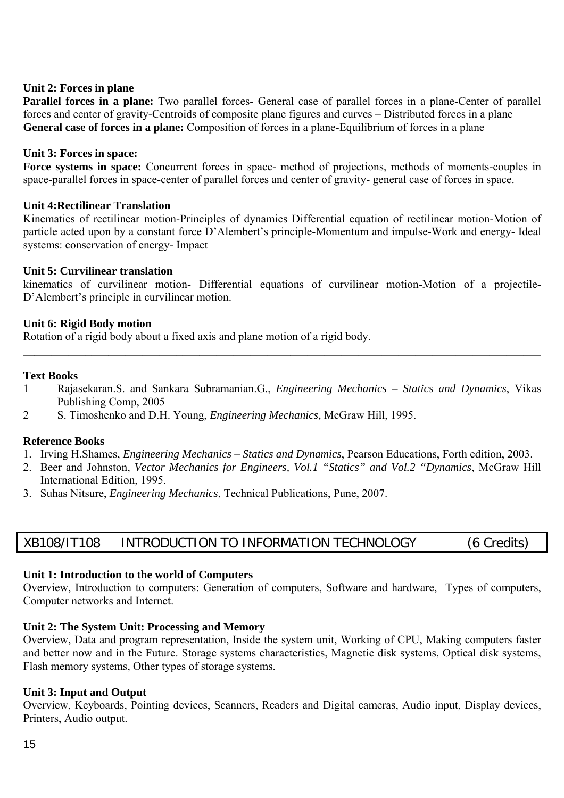#### **Unit 2: Forces in plane**

**Parallel forces in a plane:** Two parallel forces- General case of parallel forces in a plane-Center of parallel forces and center of gravity-Centroids of composite plane figures and curves – Distributed forces in a plane General case of forces in a plane: Composition of forces in a plane-Equilibrium of forces in a plane

#### **Unit 3: Forces in space:**

**Force systems in space:** Concurrent forces in space- method of projections, methods of moments-couples in space-parallel forces in space-center of parallel forces and center of gravity- general case of forces in space.

#### **Unit 4:Rectilinear Translation**

Kinematics of rectilinear motion-Principles of dynamics Differential equation of rectilinear motion-Motion of particle acted upon by a constant force D'Alembert's principle-Momentum and impulse-Work and energy- Ideal systems: conservation of energy- Impact

#### **Unit 5: Curvilinear translation**

kinematics of curvilinear motion- Differential equations of curvilinear motion-Motion of a projectile-D'Alembert's principle in curvilinear motion.

#### **Unit 6: Rigid Body motion**

Rotation of a rigid body about a fixed axis and plane motion of a rigid body.

#### **Text Books**

1 Rajasekaran.S. and Sankara Subramanian.G., *Engineering Mechanics – Statics and Dynamics*, Vikas Publishing Comp, 2005

 $\mathcal{L}_\mathcal{L} = \mathcal{L}_\mathcal{L} = \mathcal{L}_\mathcal{L} = \mathcal{L}_\mathcal{L} = \mathcal{L}_\mathcal{L} = \mathcal{L}_\mathcal{L} = \mathcal{L}_\mathcal{L} = \mathcal{L}_\mathcal{L} = \mathcal{L}_\mathcal{L} = \mathcal{L}_\mathcal{L} = \mathcal{L}_\mathcal{L} = \mathcal{L}_\mathcal{L} = \mathcal{L}_\mathcal{L} = \mathcal{L}_\mathcal{L} = \mathcal{L}_\mathcal{L} = \mathcal{L}_\mathcal{L} = \mathcal{L}_\mathcal{L}$ 

2 S. Timoshenko and D.H. Young, *Engineering Mechanics,* McGraw Hill, 1995.

#### **Reference Books**

- 1. Irving H.Shames, *Engineering Mechanics Statics and Dynamics*, Pearson Educations, Forth edition, 2003.
- 2. Beer and Johnston, *Vector Mechanics for Engineers, Vol.1 "Statics" and Vol.2 "Dynamics*, McGraw Hill International Edition, 1995.
- 3. Suhas Nitsure, *Engineering Mechanics*, Technical Publications, Pune, 2007.

# XB108/IT108 INTRODUCTION TO INFORMATION TECHNOLOGY (6 Credits)

#### **Unit 1: Introduction to the world of Computers**

Overview, Introduction to computers: Generation of computers, Software and hardware, Types of computers, Computer networks and Internet.

#### **Unit 2: The System Unit: Processing and Memory**

Overview, Data and program representation, Inside the system unit, Working of CPU, Making computers faster and better now and in the Future. Storage systems characteristics, Magnetic disk systems, Optical disk systems, Flash memory systems, Other types of storage systems.

#### **Unit 3: Input and Output**

Overview, Keyboards, Pointing devices, Scanners, Readers and Digital cameras, Audio input, Display devices, Printers, Audio output.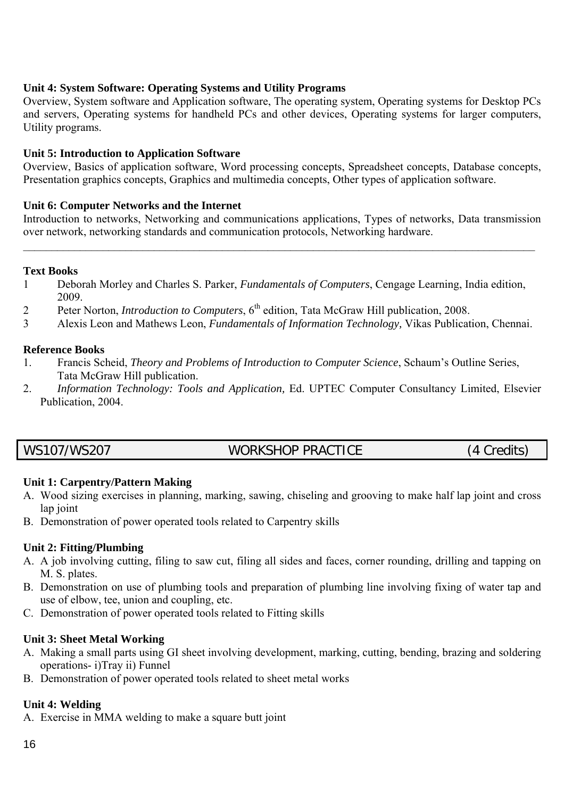#### **Unit 4: System Software: Operating Systems and Utility Programs**

Overview, System software and Application software, The operating system, Operating systems for Desktop PCs and servers, Operating systems for handheld PCs and other devices, Operating systems for larger computers, Utility programs.

#### **Unit 5: Introduction to Application Software**

Overview, Basics of application software, Word processing concepts, Spreadsheet concepts, Database concepts, Presentation graphics concepts, Graphics and multimedia concepts, Other types of application software.

#### **Unit 6: Computer Networks and the Internet**

Introduction to networks, Networking and communications applications, Types of networks, Data transmission over network, networking standards and communication protocols, Networking hardware.

 $\mathcal{L}_\mathcal{L} = \mathcal{L}_\mathcal{L} = \mathcal{L}_\mathcal{L} = \mathcal{L}_\mathcal{L} = \mathcal{L}_\mathcal{L} = \mathcal{L}_\mathcal{L} = \mathcal{L}_\mathcal{L} = \mathcal{L}_\mathcal{L} = \mathcal{L}_\mathcal{L} = \mathcal{L}_\mathcal{L} = \mathcal{L}_\mathcal{L} = \mathcal{L}_\mathcal{L} = \mathcal{L}_\mathcal{L} = \mathcal{L}_\mathcal{L} = \mathcal{L}_\mathcal{L} = \mathcal{L}_\mathcal{L} = \mathcal{L}_\mathcal{L}$ 

#### **Text Books**

- 1 Deborah Morley and Charles S. Parker, *Fundamentals of Computers*, Cengage Learning, India edition, 2009.
- 2 Peter Norton, *Introduction to Computers*, 6<sup>th</sup> edition, Tata McGraw Hill publication, 2008.
- 3 Alexis Leon and Mathews Leon, *Fundamentals of Information Technology,* Vikas Publication, Chennai.

#### **Reference Books**

- 1. Francis Scheid, *Theory and Problems of Introduction to Computer Science*, Schaum's Outline Series, Tata McGraw Hill publication.
- 2. *Information Technology: Tools and Application,* Ed. UPTEC Computer Consultancy Limited, Elsevier Publication, 2004.

# WS107/WS207 WORKSHOP PRACTICE (4 Credits)

#### **Unit 1: Carpentry/Pattern Making**

- A. Wood sizing exercises in planning, marking, sawing, chiseling and grooving to make half lap joint and cross lap joint
- B. Demonstration of power operated tools related to Carpentry skills

#### **Unit 2: Fitting/Plumbing**

- A. A job involving cutting, filing to saw cut, filing all sides and faces, corner rounding, drilling and tapping on M. S. plates.
- B. Demonstration on use of plumbing tools and preparation of plumbing line involving fixing of water tap and use of elbow, tee, union and coupling, etc.
- C. Demonstration of power operated tools related to Fitting skills

#### **Unit 3: Sheet Metal Working**

- A. Making a small parts using GI sheet involving development, marking, cutting, bending, brazing and soldering operations- i)Tray ii) Funnel
- B. Demonstration of power operated tools related to sheet metal works

#### **Unit 4: Welding**

A. Exercise in MMA welding to make a square butt joint